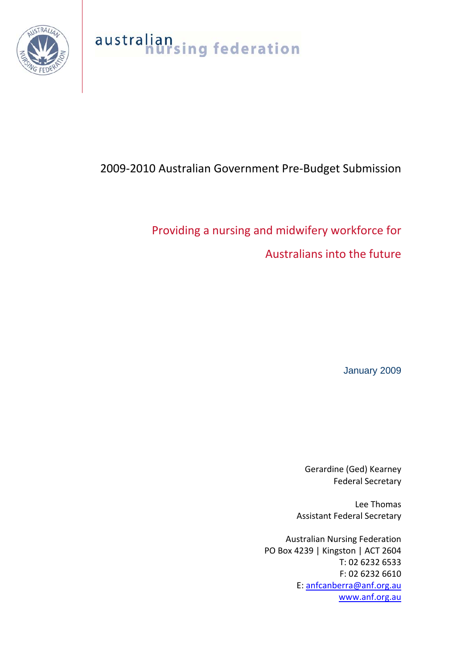

# australian<br>nursing federation

## 2009‐2010 Australian Government Pre‐Budget Submission

# Providing a nursing and midwifery workforce for Australians into the future

January 2009

Gerardine (Ged) Kearney Federal Secretary

Lee Thomas Assistant Federal Secretary

Australian Nursing Federation PO Box 4239 | Kingston | ACT 2604 T: 02 6232 6533 F: 02 6232 6610 E: [anfcanberra@anf.org.au](mailto:anfcanberra@anf.org.au) [www.anf.org.au](http://www.anf.org.au/)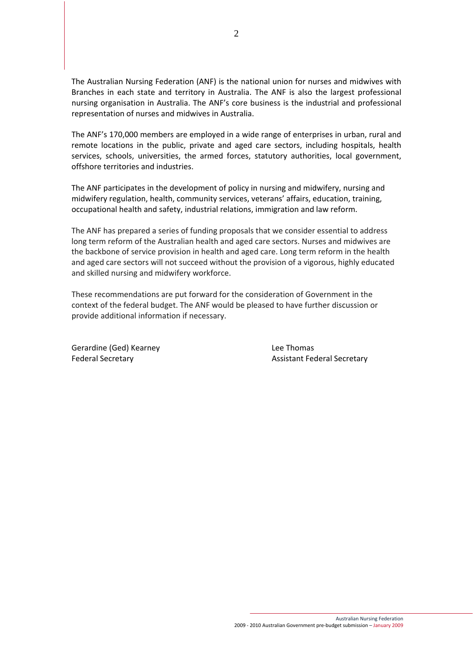The Australian Nursing Federation (ANF) is the national union for nurses and midwives with Branches in each state and territory in Australia. The ANF is also the largest professional nursing organisation in Australia. The ANF's core business is the industrial and professional representation of nurses and midwives in Australia.

The ANF's 170,000 members are employed in a wide range of enterprises in urban, rural and remote locations in the public, private and aged care sectors, including hospitals, health services, schools, universities, the armed forces, statutory authorities, local government, offshore territories and industries.

The ANF participates in the development of policy in nursing and midwifery, nursing and midwifery regulation, health, community services, veterans' affairs, education, training, occupational health and safety, industrial relations, immigration and law reform.

The ANF has prepared a series of funding proposals that we consider essential to address long term reform of the Australian health and aged care sectors. Nurses and midwives are the backbone of service provision in health and aged care. Long term reform in the health and aged care sectors will not succeed without the provision of a vigorous, highly educated and skilled nursing and midwifery workforce.

These recommendations are put forward for the consideration of Government in the context of the federal budget. The ANF would be pleased to have further discussion or provide additional information if necessary.

Gerardine (Ged) Kearney **Base Contract Contract Contract Contract Contract Contract Contract Contract Contract Contract Contract Contract Contract Contract Contract Contract Contract Contract Contract Contract Contract Con** 

Federal Secretary **The Secretary Contract Secretary Assistant Federal Secretary**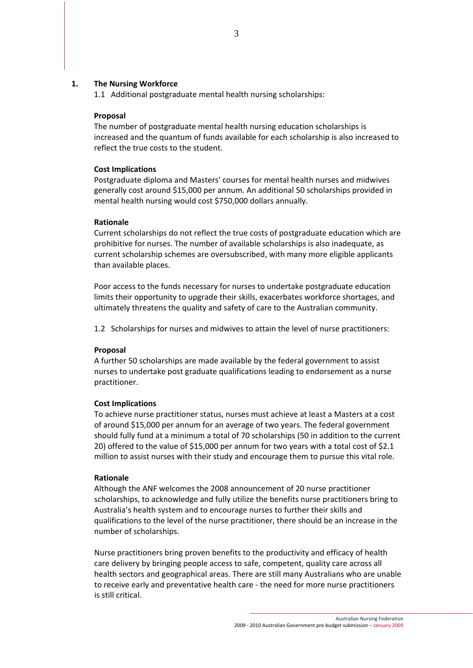#### <span id="page-2-1"></span>**1. The Nursing Workforce**

1.1 Additional postgraduate mental health nursing scholarships:

#### **Proposal**

The number of postgraduate mental health nursing education scholarships is increased and the quantum of funds available for each scholarship is also increased to reflect the true costs to the student.

#### **Cost Implications**

Postgraduate diploma and Masters' courses for mental health nurses and midwives generally cost around \$15,000 per annum. An additional 50 scholarships provided in mental health nursing would cost \$750,000 dollars annually.

#### **Rationale**

Current scholarships do not reflect the true costs of postgraduate education which are prohibitive for nurses. The number of available scholarships is also inadequate, as current scholarship schemes are oversubscribed, with many more eligible applicants than available places.

Poor access to the funds necessary for nurses to undertake postgraduate education limits their opportunity to upgrade their skills, exacerbates workforce shortages, and ultimately threatens the quality and safety of care to the Australian community.

<span id="page-2-0"></span>1.2 Scholarships for nurses and midwives to attain the level of nurse practitioners:

#### **Proposal**

A further 50 scholarships are made available by the federal government to assist nurses to undertake post graduate qualifications leading to endorsement as a nurse practitioner.

#### **Cost Implications**

To achieve nurse practitioner status, nurses must achieve at least a Masters at a cost of around \$15,000 per annum for an average of two years. The federal government should fully fund at a minimum a total of 70 scholarships (50 in addition to the current 20) offered to the value of \$15,000 per annum for two years with a total cost of \$2.1 million to assist nurses with their study and encourage them to pursue this vital role.

#### **Rationale**

Although the ANF welcomes the 2008 announcement of 20 nurse practitioner scholarships, to acknowledge and fully utilize the benefits nurse practitioners bring to Australia's health system and to encourage nurses to further their skills and qualifications to the level of the nurse practitioner, there should be an increase in the number of scholarships.

Nurse practitioners bring proven benefits to the productivity and efficacy of health care delivery by bringing people access to safe, competent, quality care across all health sectors and geographical areas. There are still many Australians who are unable to receive early and preventative health care ‐ the need for more nurse practitioners is still critical.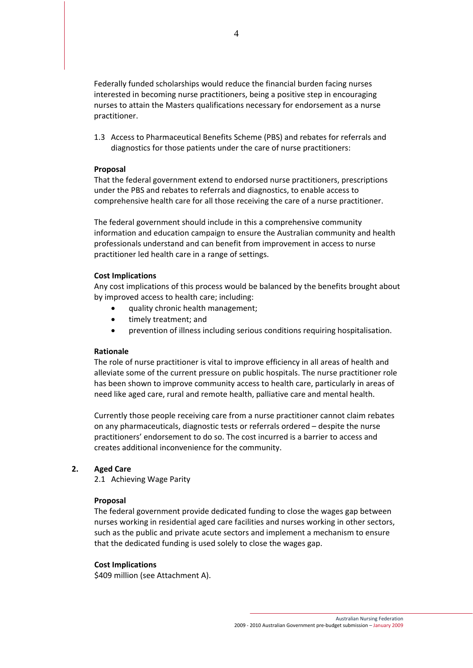Federally funded scholarships would reduce the financial burden facing nurses interested in becoming nurse practitioners, being a positive step in encouraging nurses to attain the Masters qualifications necessary for endorsement as a nurse practitioner.

1.3 Access to Pharmaceutical Benefits Scheme (PBS) and rebates for referrals and diagnostics for those patients under the care of nurse practitioners:

#### **Proposal**

That the federal government extend to endorsed nurse practitioners, prescriptions under the PBS and rebates to referrals and diagnostics, to enable access to comprehensive health care for all those receiving the care of a nurse practitioner.

The federal government should include in this a comprehensive community information and education campaign to ensure the Australian community and health professionals understand and can benefit from improvement in access to nurse practitioner led health care in a range of settings.

#### **Cost Implications**

Any cost implications of this process would be balanced by the benefits brought about by improved access to health care; including:

- quality chronic health management;
- timely treatment; and
- prevention of illness including serious conditions requiring hospitalisation.

#### **Rationale**

The role of nurse practitioner is vital to improve efficiency in all areas of health and alleviate some of the current pressure on public hospitals. The nurse practitioner role has been shown to improve community access to health care, particularly in areas of need like aged care, rural and remote health, palliative care and mental health.

Currently those people receiving care from a nurse practitioner cannot claim rebates on any pharmaceuticals, diagnostic tests or referrals ordered – despite the nurse practitioners' endorsement to do so. The cost incurred is a barrier to access and creates additional inconvenience for the community.

#### **2. Aged Care**

2.1 Achieving Wage Parity

#### **Proposal**

The federal government provide dedicated funding to close the wages gap between nurses working in residential aged care facilities and nurses working in other sectors, such as the public and private acute sectors and implement a mechanism to ensure that the dedicated funding is used solely to close the wages gap.

#### **Cost Implications**

\$409 million (see Attachment A).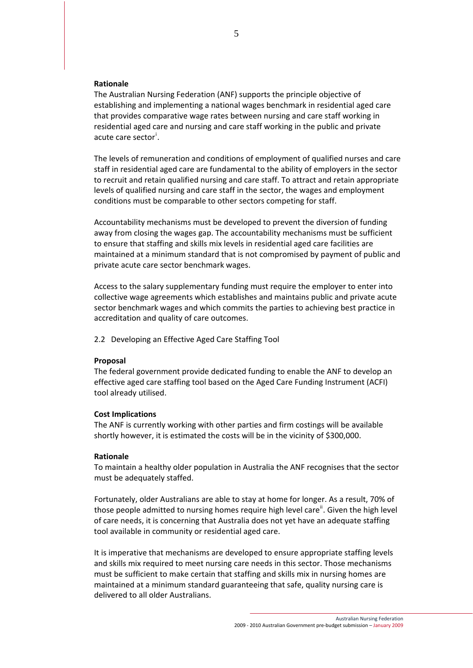#### **Rationale**

The Australian Nursing Federation (ANF) supports the principle objective of establishing and implementing a national wages benchmark in residential aged care that provides comparative wage rates between nursing and care staff working in residential aged care and nursing and care staff working in the public and private acute care sector<sup>[i](#page-2-0)</sup>.

The levels of remuneration and conditions of employment of qualified nurses and care staff in residential aged care are fundamental to the ability of employers in the sector to recruit and retain qualified nursing and care staff. To attract and retain appropriate levels of qualified nursing and care staff in the sector, the wages and employment conditions must be comparable to other sectors competing for staff.

Accountability mechanisms must be developed to prevent the diversion of funding away from closing the wages gap. The accountability mechanisms must be sufficient to ensure that staffing and skills mix levels in residential aged care facilities are maintained at a minimum standard that is not compromised by payment of public and private acute care sector benchmark wages.

Access to the salary supplementary funding must require the employer to enter into collective wage agreements which establishes and maintains public and private acute sector benchmark wages and which commits the parties to achieving best practice in accreditation and quality of care outcomes.

2.2 Developing an Effective Aged Care Staffing Tool

#### **Proposal**

The federal government provide dedicated funding to enable the ANF to develop an effective aged care staffing tool based on the Aged Care Funding Instrument (ACFI) tool already utilised.

#### **Cost Implications**

The ANF is currently working with other parties and firm costings will be available shortly however, it is estimated the costs will be in the vicinity of \$300,000.

#### **Rationale**

To maintain a healthy older population in Australia the ANF recognises that the sector must be adequately staffed.

Fortunately, older Australians are able to stay at home for longer. As a result, 70% of those people admitted to nursing homes require high level care<sup>[ii](#page-2-1)</sup>. Given the high level of care needs, it is concerning that Australia does not yet have an adequate staffing tool available in community or residential aged care.

It is imperative that mechanisms are developed to ensure appropriate staffing levels and skills mix required to meet nursing care needs in this sector. Those mechanisms must be sufficient to make certain that staffing and skills mix in nursing homes are maintained at a minimum standard guaranteeing that safe, quality nursing care is delivered to all older Australians.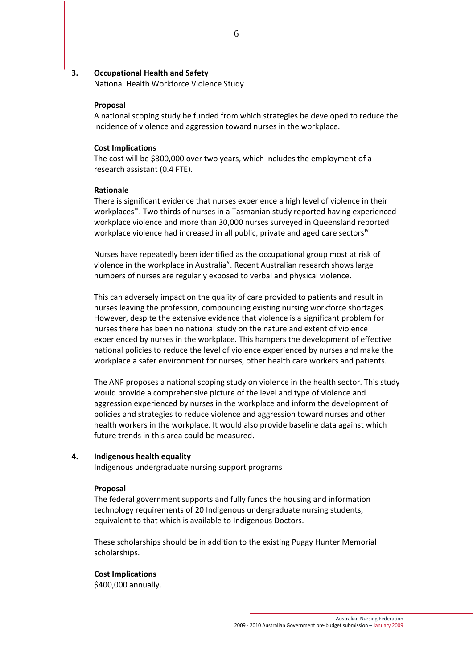#### **3. Occupational Health and Safety**

National Health Workforce Violence Study

#### **Proposal**

A national scoping study be funded from which strategies be developed to reduce the incidence of violence and aggression toward nurses in the workplace.

#### **Cost Implications**

The cost will be \$300,000 over two years, which includes the employment of a research assistant (0.4 FTE).

#### **Rationale**

There is significant evidence that nurses experience a high level of violence in their workplaces<sup>"</sup>. Two thirds of nurses in a Tasmanian study reported having experienced workplace violence and more than 30,000 nurses surveyed in Queensland reported workplace violence had increased in all public, pr[iv](#page-2-1)ate and aged care sectors<sup>iv</sup>.

Nurses have repeatedly been identified as the occupational group most at risk of [v](#page-2-1)iolence in the workplace in Australia<sup>v</sup>. Recent Australian research shows large numbers of nurses are regularly exposed to verbal and physical violence.

This can adversely impact on the quality of care provided to patients and result in nurses leaving the profession, compounding existing nursing workforce shortages. However, despite the extensive evidence that violence is a significant problem for nurses there has been no national study on the nature and extent of violence experienced by nurses in the workplace. This hampers the development of effective national policies to reduce the level of violence experienced by nurses and make the workplace a safer environment for nurses, other health care workers and patients.

The ANF proposes a national scoping study on violence in the health sector. This study would provide a comprehensive picture of the level and type of violence and aggression experienced by nurses in the workplace and inform the development of policies and strategies to reduce violence and aggression toward nurses and other health workers in the workplace. It would also provide baseline data against which future trends in this area could be measured.

#### **4. Indigenous health equality**

Indigenous undergraduate nursing support programs

#### **Proposal**

The federal government supports and fully funds the housing and information technology requirements of 20 Indigenous undergraduate nursing students, equivalent to that which is available to Indigenous Doctors.

These scholarships should be in addition to the existing Puggy Hunter Memorial scholarships.

#### **Cost Implications**

\$400,000 annually.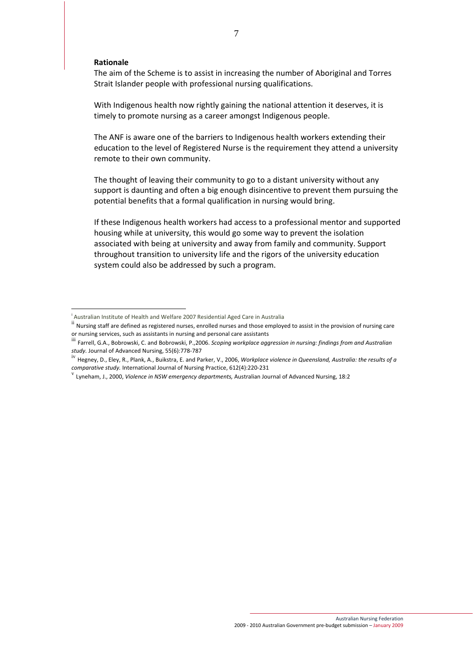#### **Rationale**

The aim of the Scheme is to assist in increasing the number of Aboriginal and Torres Strait Islander people with professional nursing qualifications.

With Indigenous health now rightly gaining the national attention it deserves, it is timely to promote nursing as a career amongst Indigenous people.

The ANF is aware one of the barriers to Indigenous health workers extending their education to the level of Registered Nurse is the requirement they attend a university remote to their own community.

The thought of leaving their community to go to a distant university without any support is daunting and often a big enough disincentive to prevent them pursuing the potential benefits that a formal qualification in nursing would bring.

If these Indigenous health workers had access to a professional mentor and supported housing while at university, this would go some way to prevent the isolation associated with being at university and away from family and community. Support throughout transition to university life and the rigors of the university education system could also be addressed by such a program.

 i

ii Nursing staff are defined as registered nurses, enrolled nurses and those employed to assist in the provision of nursing care or nursing services, such as assistants in nursing and personal care assistants<br>iii Farrell, G.A., Bobrowski, C. and Bobrowski, P., 2006. Scoping workplace aggression in nursing: findings from and Australian

*study.* Journal of Advanced Nursing, 55(6):778‐787

iv Hegney, D., Eley, R., Plank, A., Buikstra, E. and Parker, V., 2006, *Workplace violence in Queensland, Australia: the results of <sup>a</sup>*

 $V$  Lyneham, J., 2000, *Violence in NSW emergency departments*, Australian Journal of Advanced Nursing, 18:2